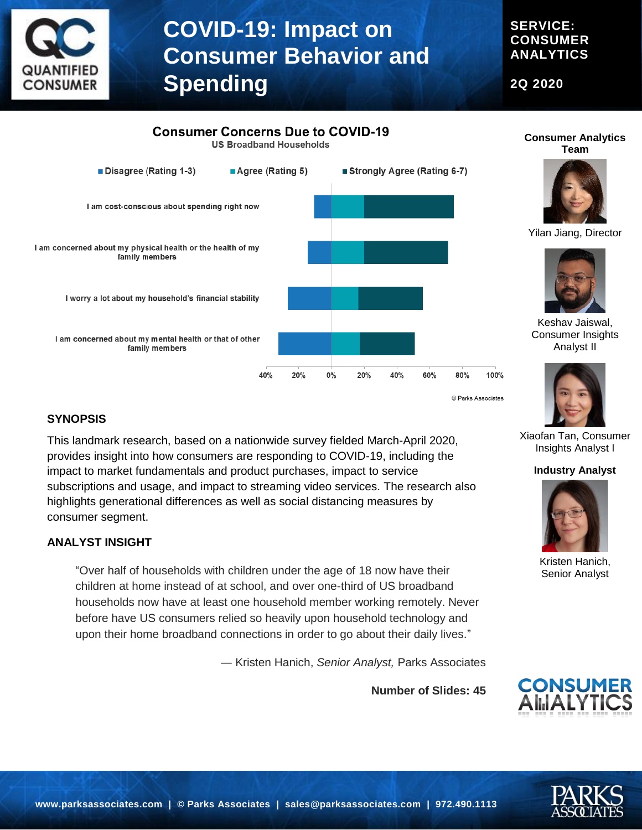

**SERVICE: CONSUMER ANALYTICS**

**2Q 2020**



#### **SYNOPSIS**

ANTIFIEI **CONSUMER** 

> This landmark research, based on a nationwide survey fielded March-April 2020, provides insight into how consumers are responding to COVID-19, including the impact to market fundamentals and product purchases, impact to service subscriptions and usage, and impact to streaming video services. The research also highlights generational differences as well as social distancing measures by consumer segment.

#### **ANALYST INSIGHT**

"Over half of households with children under the age of 18 now have their children at home instead of at school, and over one-third of US broadband households now have at least one household member working remotely. Never before have US consumers relied so heavily upon household technology and upon their home broadband connections in order to go about their daily lives."

― Kristen Hanich, *Senior Analyst,* Parks Associates

**Number of Slides: 45**



Xiaofan Tan, Consumer Insights Analyst I

**Industry Analyst**

Kristen Hanich, Senior Analyst

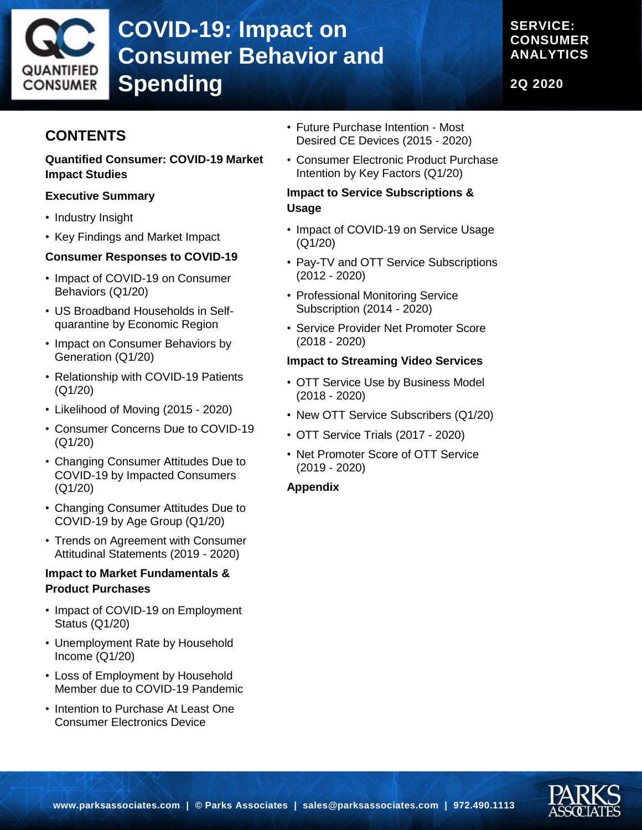

# **COVID-19: Impact on Consumer Behavior and Spending**

**SERVICE: CONSUMER ANALYTICS**

**2Q 2020**

## **CONTENTS**

#### **Quantified Consumer: COVID-19 Market Impact Studies**

### **Executive Summary**

- Industry Insight
- Key Findings and Market Impact

#### **Consumer Responses to COVID-19**

- Impact of COVID-19 on Consumer Behaviors (Q1/20)
- US Broadband Households in Selfquarantine by Economic Region
- Impact on Consumer Behaviors by Generation (Q1/20)
- Relationship with COVID-19 Patients (Q1/20)
- Likelihood of Moving (2015 2020)
- Consumer Concerns Due to COVID-19 (Q1/20)
- Changing Consumer Attitudes Due to COVID-19 by Impacted Consumers (Q1/20)
- Changing Consumer Attitudes Due to COVID-19 by Age Group (Q1/20)
- Trends on Agreement with Consumer Attitudinal Statements (2019 - 2020)

### **Impact to Market Fundamentals & Product Purchases**

- Impact of COVID-19 on Employment Status (Q1/20)
- Unemployment Rate by Household Income (Q1/20)
- Loss of Employment by Household Member due to COVID-19 Pandemic
- Intention to Purchase At Least One Consumer Electronics Device
- Future Purchase Intention Most Desired CE Devices (2015 - 2020)
- Consumer Electronic Product Purchase Intention by Key Factors (Q1/20)

### **Impact to Service Subscriptions & Usage**

- Impact of COVID-19 on Service Usage (Q1/20)
- Pay-TV and OTT Service Subscriptions (2012 - 2020)
- Professional Monitoring Service Subscription (2014 - 2020)
- Service Provider Net Promoter Score (2018 - 2020)

#### **Impact to Streaming Video Services**

- OTT Service Use by Business Model (2018 - 2020)
- New OTT Service Subscribers (Q1/20)
- OTT Service Trials (2017 2020)
- Net Promoter Score of OTT Service (2019 - 2020)

#### **Appendix**